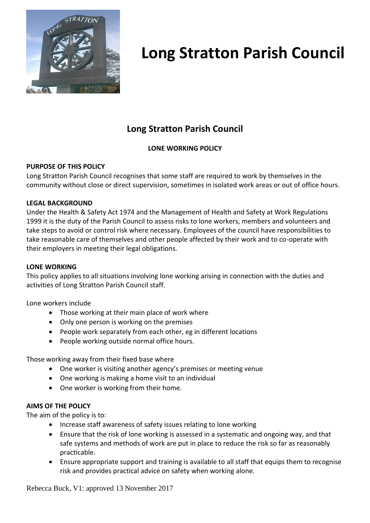

### **Long Stratton Parish Council**

### **LONE WORKING POLICY**

### **PURPOSE OF THIS POLICY**

Long Stratton Parish Council recognises that some staff are required to work by themselves in the community without close or direct supervision, sometimes in isolated work areas or out of office hours.

### **LEGAL BACKGROUND**

Under the Health & Safety Act 1974 and the Management of Health and Safety at Work Regulations 1999 it is the duty of the Parish Council to assess risks to lone workers, members and volunteers and take steps to avoid or control risk where necessary. Employees of the council have responsibilities to take reasonable care of themselves and other people affected by their work and to co-operate with their employers in meeting their legal obligations.

### **LONE WORKING**

This policy applies to all situations involving lone working arising in connection with the duties and activities of Long Stratton Parish Council staff.

Lone workers include

- Those working at their main place of work where
- Only one person is working on the premises
- People work separately from each other, eg in different locations
- People working outside normal office hours.

Those working away from their fixed base where

- One worker is visiting another agency's premises or meeting venue
- One working is making a home visit to an individual
- One worker is working from their home.

### **AIMS OF THE POLICY**

The aim of the policy is to:

- Increase staff awareness of safety issues relating to lone working
- Ensure that the risk of lone working is assessed in a systematic and ongoing way, and that safe systems and methods of work are put in place to reduce the risk so far as reasonably practicable.
- Ensure appropriate support and training is available to all staff that equips them to recognise risk and provides practical advice on safety when working alone.

Rebecca Buck, V1: approved 13 November 2017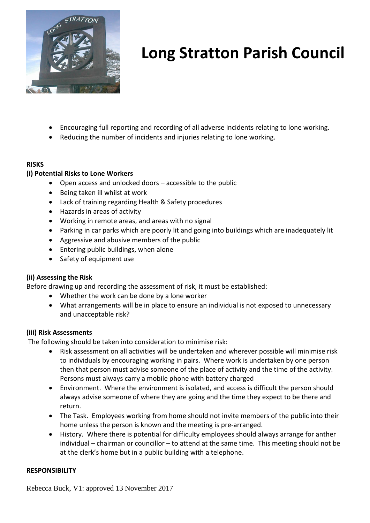

- Encouraging full reporting and recording of all adverse incidents relating to lone working.
- Reducing the number of incidents and injuries relating to lone working.

### **RISKS**

### **(i) Potential Risks to Lone Workers**

- Open access and unlocked doors accessible to the public
- Being taken ill whilst at work
- Lack of training regarding Health & Safety procedures
- Hazards in areas of activity
- Working in remote areas, and areas with no signal
- Parking in car parks which are poorly lit and going into buildings which are inadequately lit
- Aggressive and abusive members of the public
- Entering public buildings, when alone
- Safety of equipment use

### **(ii) Assessing the Risk**

Before drawing up and recording the assessment of risk, it must be established:

- Whether the work can be done by a lone worker
- What arrangements will be in place to ensure an individual is not exposed to unnecessary and unacceptable risk?

#### **(iii) Risk Assessments**

The following should be taken into consideration to minimise risk:

- Risk assessment on all activities will be undertaken and wherever possible will minimise risk to individuals by encouraging working in pairs. Where work is undertaken by one person then that person must advise someone of the place of activity and the time of the activity. Persons must always carry a mobile phone with battery charged
- Environment. Where the environment is isolated, and access is difficult the person should always advise someone of where they are going and the time they expect to be there and return.
- The Task. Employees working from home should not invite members of the public into their home unless the person is known and the meeting is pre-arranged.
- History. Where there is potential for difficulty employees should always arrange for anther individual – chairman or councillor – to attend at the same time. This meeting should not be at the clerk's home but in a public building with a telephone.

#### **RESPONSIBILITY**

Rebecca Buck, V1: approved 13 November 2017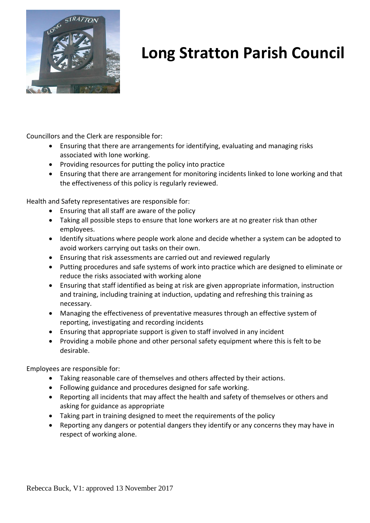

Councillors and the Clerk are responsible for:

- Ensuring that there are arrangements for identifying, evaluating and managing risks associated with lone working.
- Providing resources for putting the policy into practice
- Ensuring that there are arrangement for monitoring incidents linked to lone working and that the effectiveness of this policy is regularly reviewed.

Health and Safety representatives are responsible for:

- Ensuring that all staff are aware of the policy
- Taking all possible steps to ensure that lone workers are at no greater risk than other employees.
- Identify situations where people work alone and decide whether a system can be adopted to avoid workers carrying out tasks on their own.
- Ensuring that risk assessments are carried out and reviewed regularly
- Putting procedures and safe systems of work into practice which are designed to eliminate or reduce the risks associated with working alone
- Ensuring that staff identified as being at risk are given appropriate information, instruction and training, including training at induction, updating and refreshing this training as necessary.
- Managing the effectiveness of preventative measures through an effective system of reporting, investigating and recording incidents
- Ensuring that appropriate support is given to staff involved in any incident
- Providing a mobile phone and other personal safety equipment where this is felt to be desirable.

Employees are responsible for:

- Taking reasonable care of themselves and others affected by their actions.
- Following guidance and procedures designed for safe working.
- Reporting all incidents that may affect the health and safety of themselves or others and asking for guidance as appropriate
- Taking part in training designed to meet the requirements of the policy
- Reporting any dangers or potential dangers they identify or any concerns they may have in respect of working alone.